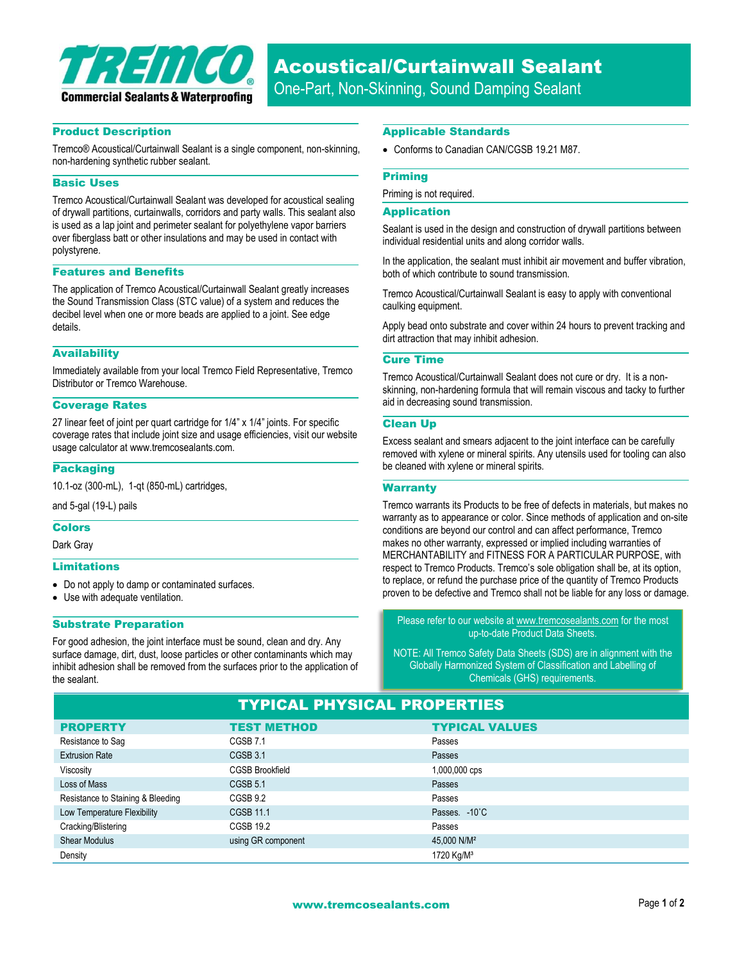

# Product Description

Tremco® Acoustical/Curtainwall Sealant is a single component, non-skinning, non-hardening synthetic rubber sealant.

## Basic Uses

Tremco Acoustical/Curtainwall Sealant was developed for acoustical sealing of drywall partitions, curtainwalls, corridors and party walls. This sealant also is used as a lap joint and perimeter sealant for polyethylene vapor barriers over fiberglass batt or other insulations and may be used in contact with polystyrene.

#### Features and Benefits

The application of Tremco Acoustical/Curtainwall Sealant greatly increases the Sound Transmission Class (STC value) of a system and reduces the decibel level when one or more beads are applied to a joint. See edge details.

# **Availability**

Immediately available from your local Tremco Field Representative, Tremco Distributor or Tremco Warehouse.

### Coverage Rates

27 linear feet of joint per quart cartridge for 1/4" x 1/4" joints. For specific coverage rates that include joint size and usage efficiencies, visit our website usage calculator at www.tremcosealants.com.

## **Packaging**

10.1-oz (300-mL), 1-qt (850-mL) cartridges,

and 5-gal (19-L) pails

### Colors

Dark Gray

#### Limitations

- Do not apply to damp or contaminated surfaces.
- Use with adequate ventilation.

## Substrate Preparation

For good adhesion, the joint interface must be sound, clean and dry. Any surface damage, dirt, dust, loose particles or other contaminants which may inhibit adhesion shall be removed from the surfaces prior to the application of the sealant.

#### Applicable Standards

Conforms to Canadian CAN/CGSB 19.21 M87.

#### Priming

Priming is not required.

## Application

Sealant is used in the design and construction of drywall partitions between individual residential units and along corridor walls.

In the application, the sealant must inhibit air movement and buffer vibration, both of which contribute to sound transmission.

Tremco Acoustical/Curtainwall Sealant is easy to apply with conventional caulking equipment.

Apply bead onto substrate and cover within 24 hours to prevent tracking and dirt attraction that may inhibit adhesion.

## Cure Time

Tremco Acoustical/Curtainwall Sealant does not cure or dry. It is a nonskinning, non-hardening formula that will remain viscous and tacky to further aid in decreasing sound transmission.

## Clean Up

Excess sealant and smears adjacent to the joint interface can be carefully removed with xylene or mineral spirits. Any utensils used for tooling can also be cleaned with xylene or mineral spirits.

#### **Warranty**

Tremco warrants its Products to be free of defects in materials, but makes no warranty as to appearance or color. Since methods of application and on-site conditions are beyond our control and can affect performance, Tremco makes no other warranty, expressed or implied including warranties of MERCHANTABILITY and FITNESS FOR A PARTICULAR PURPOSE, with respect to Tremco Products. Tremco's sole obligation shall be, at its option, to replace, or refund the purchase price of the quantity of Tremco Products proven to be defective and Tremco shall not be liable for any loss or damage.

Please refer to our website a[t www.tremcosealants.com](http://www.tremcosealants.com/) for the most up-to-date Product Data Sheets.

NOTE: All Tremco Safety Data Sheets (SDS) are in alignment with the Globally Harmonized System of Classification and Labelling of Chemicals (GHS) requirements.

| <b>TYPICAL PHYSICAL PROPERTIES</b> |                        |                         |  |
|------------------------------------|------------------------|-------------------------|--|
| <b>PROPERTY</b>                    | <b>TEST METHOD</b>     | <b>TYPICAL VALUES</b>   |  |
| Resistance to Sag                  | CGSB 7.1               | Passes                  |  |
| <b>Extrusion Rate</b>              | CGSB 3.1               | Passes                  |  |
| Viscosity                          | <b>CGSB Brookfield</b> | 1,000,000 cps           |  |
| Loss of Mass                       | CGSB 5.1               | Passes                  |  |
| Resistance to Staining & Bleeding  | CGSB 9.2               | Passes                  |  |
| Low Temperature Flexibility        | <b>CGSB 11.1</b>       | Passes. - 10°C          |  |
| Cracking/Blistering                | <b>CGSB 19.2</b>       | Passes                  |  |
| <b>Shear Modulus</b>               | using GR component     | 45,000 N/M <sup>2</sup> |  |
| Density                            |                        | 1720 Kg/M <sup>3</sup>  |  |